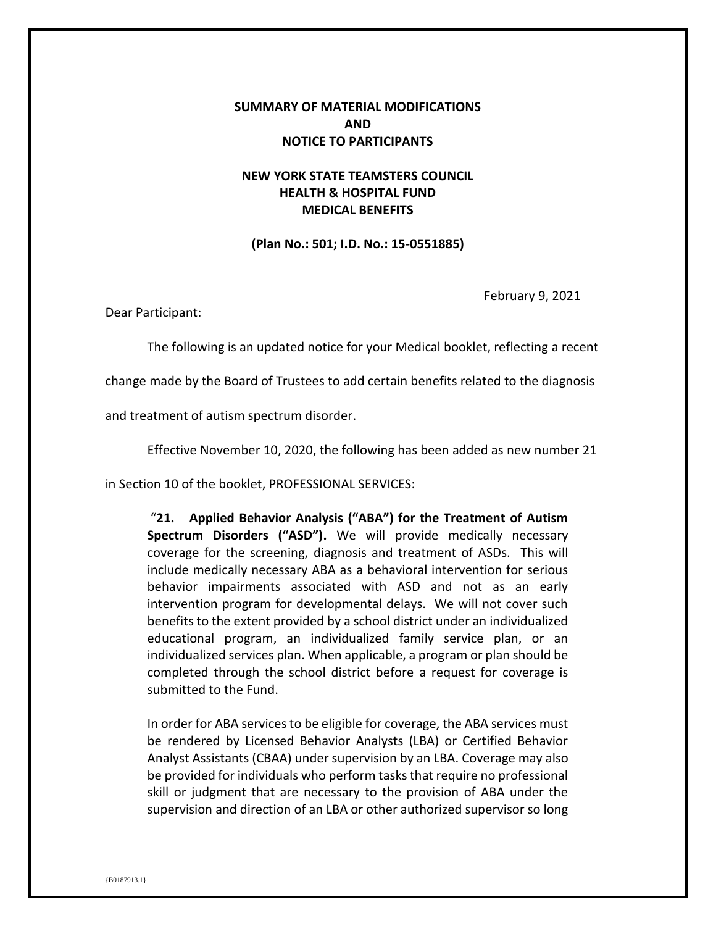## **SUMMARY OF MATERIAL MODIFICATIONS AND NOTICE TO PARTICIPANTS**

## **NEW YORK STATE TEAMSTERS COUNCIL HEALTH & HOSPITAL FUND MEDICAL BENEFITS**

**(Plan No.: 501; I.D. No.: 15-0551885)**

February 9, 2021

Dear Participant:

The following is an updated notice for your Medical booklet, reflecting a recent

change made by the Board of Trustees to add certain benefits related to the diagnosis

and treatment of autism spectrum disorder.

Effective November 10, 2020, the following has been added as new number 21

in Section 10 of the booklet, PROFESSIONAL SERVICES:

"**21. Applied Behavior Analysis ("ABA") for the Treatment of Autism Spectrum Disorders ("ASD").** We will provide medically necessary coverage for the screening, diagnosis and treatment of ASDs. This will include medically necessary ABA as a behavioral intervention for serious behavior impairments associated with ASD and not as an early intervention program for developmental delays. We will not cover such benefits to the extent provided by a school district under an individualized educational program, an individualized family service plan, or an individualized services plan. When applicable, a program or plan should be completed through the school district before a request for coverage is submitted to the Fund.

In order for ABA services to be eligible for coverage, the ABA services must be rendered by Licensed Behavior Analysts (LBA) or Certified Behavior Analyst Assistants (CBAA) under supervision by an LBA. Coverage may also be provided for individuals who perform tasks that require no professional skill or judgment that are necessary to the provision of ABA under the supervision and direction of an LBA or other authorized supervisor so long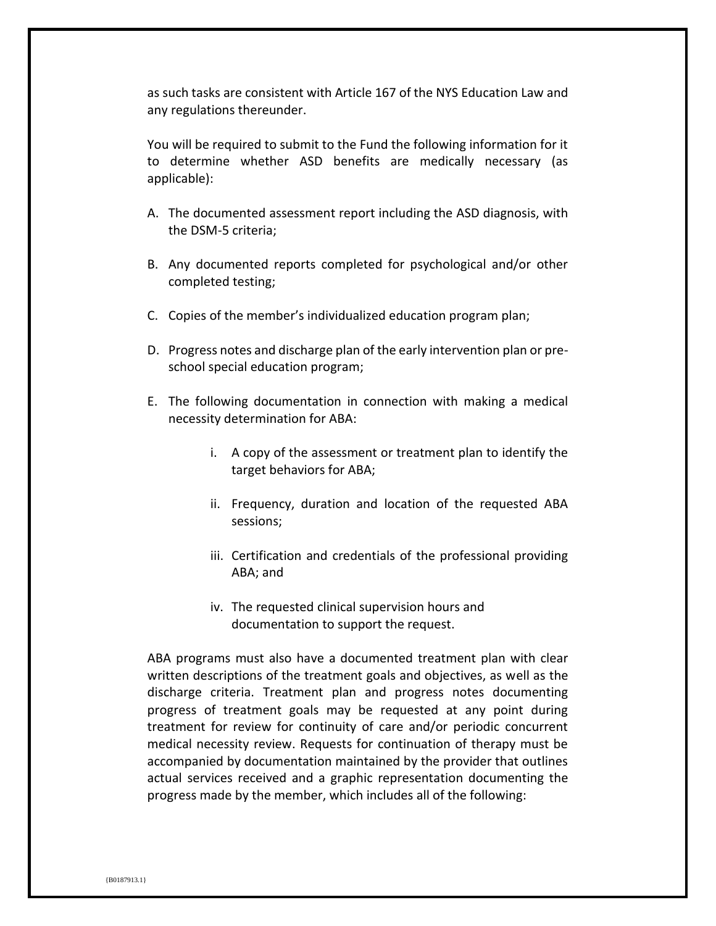as such tasks are consistent with Article 167 of the NYS Education Law and any regulations thereunder.

You will be required to submit to the Fund the following information for it to determine whether ASD benefits are medically necessary (as applicable):

- A. The documented assessment report including the ASD diagnosis, with the DSM-5 criteria;
- B. Any documented reports completed for psychological and/or other completed testing;
- C. Copies of the member's individualized education program plan;
- D. Progress notes and discharge plan of the early intervention plan or preschool special education program;
- E. The following documentation in connection with making a medical necessity determination for ABA:
	- i. A copy of the assessment or treatment plan to identify the target behaviors for ABA;
	- ii. Frequency, duration and location of the requested ABA sessions;
	- iii. Certification and credentials of the professional providing ABA; and
	- iv. The requested clinical supervision hours and documentation to support the request.

ABA programs must also have a documented treatment plan with clear written descriptions of the treatment goals and objectives, as well as the discharge criteria. Treatment plan and progress notes documenting progress of treatment goals may be requested at any point during treatment for review for continuity of care and/or periodic concurrent medical necessity review. Requests for continuation of therapy must be accompanied by documentation maintained by the provider that outlines actual services received and a graphic representation documenting the progress made by the member, which includes all of the following: